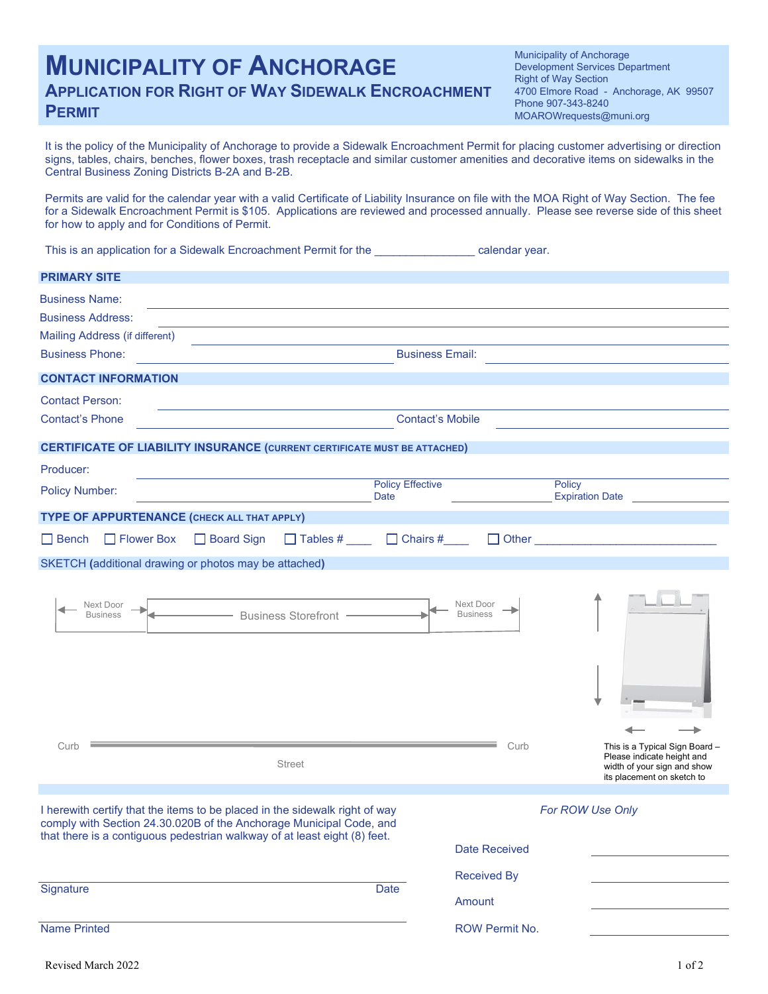# **MUNICIPALITY OF ANCHORAGE APPLICATION FOR RIGHT OF WAY SIDEWALK ENCROACHMENT PERMIT**

Municipality of Anchorage Development Services Department Right of Way Section 4700 Elmore Road - Anchorage, AK 99507 Phone 907-343-8240 MOAROWrequests@muni.org

It is the policy of the Municipality of Anchorage to provide a Sidewalk Encroachment Permit for placing customer advertising or direction signs, tables, chairs, benches, flower boxes, trash receptacle and similar customer amenities and decorative items on sidewalks in the Central Business Zoning Districts B-2A and B-2B.

Permits are valid for the calendar year with a valid Certificate of Liability Insurance on file with the MOA Right of Way Section. The fee for a Sidewalk Encroachment Permit is \$105. Applications are reviewed and processed annually. Please see reverse side of this sheet for how to apply and for Conditions of Permit.

This is an application for a Sidewalk Encroachment Permit for the **Encroment Permit for the calendar year**.

| <b>PRIMARY SITE</b>                                                                                                                                                                                                             |                                        |                              |                                                              |
|---------------------------------------------------------------------------------------------------------------------------------------------------------------------------------------------------------------------------------|----------------------------------------|------------------------------|--------------------------------------------------------------|
| <b>Business Name:</b>                                                                                                                                                                                                           |                                        |                              |                                                              |
| <b>Business Address:</b>                                                                                                                                                                                                        |                                        |                              |                                                              |
| Mailing Address (if different)                                                                                                                                                                                                  |                                        |                              |                                                              |
| <b>Business Phone:</b>                                                                                                                                                                                                          | <b>Business Email:</b>                 |                              |                                                              |
| <b>CONTACT INFORMATION</b>                                                                                                                                                                                                      |                                        |                              |                                                              |
| <b>Contact Person:</b>                                                                                                                                                                                                          |                                        |                              |                                                              |
| <b>Contact's Phone</b>                                                                                                                                                                                                          | <b>Contact's Mobile</b>                |                              |                                                              |
| <b>CERTIFICATE OF LIABILITY INSURANCE (CURRENT CERTIFICATE MUST BE ATTACHED)</b>                                                                                                                                                |                                        |                              |                                                              |
| Producer:                                                                                                                                                                                                                       |                                        |                              |                                                              |
| <b>Policy Number:</b>                                                                                                                                                                                                           | <b>Policy Effective</b><br><b>Date</b> |                              | Policy<br><b>Expiration Date</b>                             |
| TYPE OF APPURTENANCE (CHECK ALL THAT APPLY)                                                                                                                                                                                     |                                        |                              |                                                              |
| □ Flower Box<br>□ Board Sign<br>$\Box$ Bench                                                                                                                                                                                    | $\Box$ Tables # $\Box$ Chairs #        |                              | $\Box$ Other $\Box$                                          |
| SKETCH (additional drawing or photos may be attached)                                                                                                                                                                           |                                        |                              |                                                              |
|                                                                                                                                                                                                                                 |                                        |                              |                                                              |
| Next Door<br>- Business Storefront -<br><b>Business</b>                                                                                                                                                                         |                                        | Next Door<br><b>Business</b> |                                                              |
| Curb                                                                                                                                                                                                                            |                                        | Curb                         | This is a Typical Sign Board -<br>Please indicate height and |
| <b>Street</b>                                                                                                                                                                                                                   |                                        |                              | width of your sign and show<br>its placement on sketch to    |
| I herewith certify that the items to be placed in the sidewalk right of way<br>comply with Section 24.30.020B of the Anchorage Municipal Code, and<br>that there is a contiguous pedestrian walkway of at least eight (8) feet. |                                        |                              | For ROW Use Only                                             |
|                                                                                                                                                                                                                                 |                                        | <b>Date Received</b>         |                                                              |
| Signature                                                                                                                                                                                                                       | Date                                   | <b>Received By</b>           |                                                              |
|                                                                                                                                                                                                                                 |                                        | Amount                       |                                                              |
| <b>Name Printed</b>                                                                                                                                                                                                             |                                        | ROW Permit No.               |                                                              |
| Revised March 2022                                                                                                                                                                                                              |                                        |                              | 1 of 2                                                       |